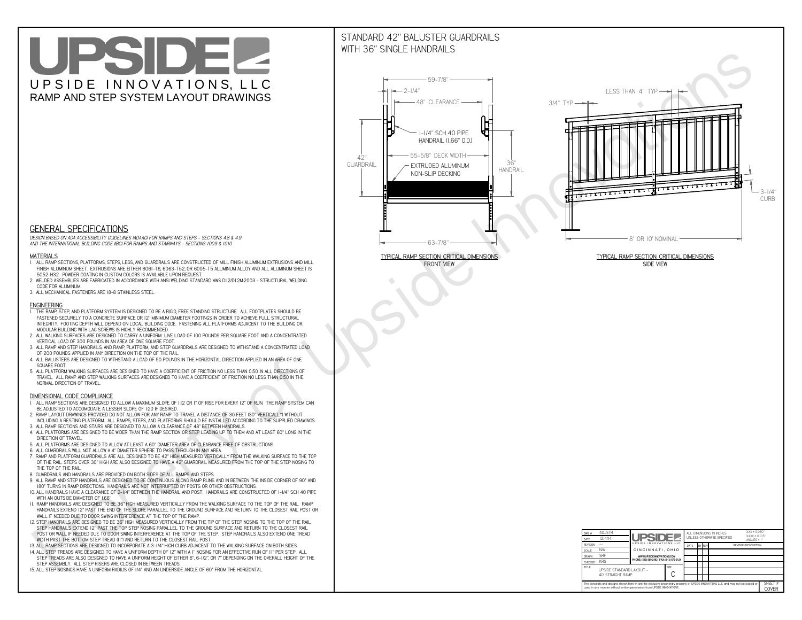# UPSIDEL UPSIDE INNOVATIONS, LLC RAMP AND STEP SYSTEM LAYOUT DRAWINGS

## STANDARD 42" BALUSTER GUARDRAILSWITH 36" SINGLE HANDRAILS

**FRONT VIEW**





**GENERAL SPECIFICATIONS**

 *DESIGN BASED ON ADA ACCESSIBILITY GUIDELINES (ADAAG) FOR RAMPS AND STEPS - SECTIONS 4.8 & 4.9AND THE INTERNATIONAL BUILDING CODE (IBC) FOR RAMPS AND STAIRWAYS - SECTIONS 1009 & 1010*

#### **MATERIALS**

- **1. ALL RAMP SECTIONS, PLATFORMS, STEPS, LEGS, AND GUARDRAILS ARE CONSTRUCTED OF MILL FINISH ALUMINUM EXTRUSIONS AND MILL FINISH ALUMINUM SHEET. EXTRUSIONS ARE EITHER 6061-T6, 6063-T52, OR 6005-T5 ALUMINUM ALLOY AND ALL ALUMINUM SHEET IS 5052-H32. POWDER COATING IN CUSTOM COLORS IS AVAILABLE UPON REQUEST.**
- **2. WELDED ASSEMBLIES ARE FABRICATED IN ACCORDANCE WITH ANSI WELDING STANDARD AWS D1.2/D1.2M:2003 STRUCTURAL WELDING CODE FOR ALUMINUM.**
- **3. ALL MECHANICAL FASTENERS ARE 18-8 STAINLESS STEEL.**

#### **ENGINEERING**

- **1. THE RAMP, STEP, AND PLATFORM SYSTEM IS DESIGNED TO BE A RIGID, FREE STANDING STRUCTURE. ALL FOOTPLATES SHOULD BE FASTENED SECURELY TO A CONCRETE SURFACE OR 12" MINIMUM DIAMETER FOOTINGS IN ORDER TO ACHIEVE FULL STRUCTURAL INTEGRITY. FOOTING DEPTH WILL DEPEND ON LOCAL BUILDING CODE. FASTENING ALL PLATFORMS ADJACENT TO THE BUILDING OR MODULAR BUILDING WITH LAG SCREWS IS HIGHLY RECOMMENDED.**
- **2. ALL WALKING SURFACES ARE DESIGNED TO CARRY A UNIFORM LIVE LOAD OF 100 POUNDS PER SQUARE FOOT AND A CONCENTRATED VERTICAL LOAD OF 300 POUNDS IN AN AREA OF ONE SQUARE FOOT.**
- **3. ALL RAMP AND STEP HANDRAILS, AND RAMP, PLATFORM, AND STEP GUARDRAILS ARE DESIGNED TO WITHSTAND A CONCENTRATED LOAD OF 200 POUNDS APPLIED IN ANY DIRECTION ON THE TOP OF THE RAIL.**
- **4. ALL BALUSTERS ARE DESIGNED TO WITHSTAND A LOAD OF 50 POUNDS IN THE HORIZONTAL DIRECTION APPLIED IN AN AREA OF ONE SQUARE FOOT.**
- **5. ALL PLATFORM WALKING SURFACES ARE DESIGNED TO HAVE A COEFFICIENT OF FRICTION NO LESS THAN 0.50 IN ALL DIRECTIONS OF TRAVEL. ALL RAMP AND STEP WALKING SURFACES ARE DESIGNED TO HAVE A COEFFICIENT OF FRICTION NO LESS THAN 0.50 IN THE NORMAL DIRECTION OF TRAVEL.**

| $DWG.$ #<br>DATE                                                                                                                                                                                            | 40_STR<br>12/4/14                             | <b>UPSIDEZ</b><br>UPSIDE INNOVATIONS LLC  |  | ALL DIMENSIONS IN INCHES<br>UNLESS OTHERWISE SPECIFIED |        |  |  | XXX ± 0.060"<br>$XXX \pm 0.015$ "<br>ANGLES $\pm$ 1° |  |
|-------------------------------------------------------------------------------------------------------------------------------------------------------------------------------------------------------------|-----------------------------------------------|-------------------------------------------|--|--------------------------------------------------------|--------|--|--|------------------------------------------------------|--|
| <b>REVISION</b>                                                                                                                                                                                             |                                               |                                           |  | DATE                                                   | BY REV |  |  | <b>REVISION DESCRIPTION</b>                          |  |
| <b>SCALE</b>                                                                                                                                                                                                | N/A                                           | CINCINNATI, OHIO                          |  |                                                        |        |  |  |                                                      |  |
| <b>DRAWN</b>                                                                                                                                                                                                | <b>SRF</b>                                    | WWW.UPSIDEINNOVATIONS.COM                 |  |                                                        |        |  |  |                                                      |  |
| CHECKED                                                                                                                                                                                                     | <b>KRS</b>                                    | PHONE: (513) 889-2492 FAX: (513) 672-2124 |  |                                                        |        |  |  |                                                      |  |
| <b>TITLE</b>                                                                                                                                                                                                | UPSIDE STANDARD LAYOUT -<br>40' STRAIGHT RAMP |                                           |  |                                                        |        |  |  |                                                      |  |
| The concepts and designs shown here-in are the exclusive proprietary property of UPSIDE INNOVATIONS LLC. and may not be copied or<br>used in any manner without written permission from UPSIDE INNOVATIONS. |                                               |                                           |  |                                                        |        |  |  | SHEET #<br><b>COVER</b>                              |  |

### **DIMENSIONAL CODE COMPLIANCE**

- **1. ALL RAMP SECTIONS ARE DESIGNED TO ALLOW A MAXIMUM SLOPE OF 1:12 OR 1" OF RISE FOR EVERY 12" OF RUN. THE RAMP SYSTEM CAN BE ADJUSTED TO ACCOMODATE A LESSER SLOPE OF 1:20 IF DESIRED.**
- **2. RAMP LAYOUT DRAWINGS PROVIDED DO NOT ALLOW FOR ANY RAMP TO TRAVEL A DISTANCE OF 30 FEET (30" VERTICALLY) WITHOUT INCLUDING A RESTING PLATFORM. ALL RAMPS, STEPS, AND PLATFORMS SHOULD BE INSTALLED ACCORDING TO THE SUPPLIED DRAWINGS.**
- **3. ALL RAMP SECTIONS AND STAIRS ARE DESIGNED TO ALLOW A CLEARANCE OF 48" BETWEEN HANDRAILS.**
- **4. ALL PLATFORMS ARE DESIGNED TO BE WIDER THAN THE RAMP SECTION OR STEP LEADING UP TO THEM AND AT LEAST 60" LONG IN THE DIRECTION OF TRAVEL.**
- **5. ALL PLATFORMS ARE DESIGNED TO ALLOW AT LEAST A 60" DIAMETER AREA OF CLEARANCE FREE OF OBSTRUCTIONS.**
- **6. ALL GUARDRAILS WILL NOT ALLOW A 4" DIAMETER SPHERE TO PASS THROUGH IN ANY AREA.**
- **7. RAMP AND PLATFORM GUARDRAILS ARE ALL DESIGNED TO BE 42" HIGH MEASURED VERTICALLY FROM THE WALKING SURFACE TO THE TOP OF THE RAIL. STEPS OVER 30" HIGH ARE ALSO DESIGNED TO HAVE A 42" GUARDRAIL MEASURED FROM THE TOP OF THE STEP NOSING TO THE TOP OF THE RAIL.**
- **8. GUARDRAILS AND HANDRAILS ARE PROVIDED ON BOTH SIDES OF ALL RAMPS AND STEPS.**
- **9. ALL RAMP AND STEP HANDRAILS ARE DESIGNED TO BE CONTINUOUS ALONG RAMP RUNS AND IN BETWEEN THE INSIDE CORNER OF 90° AND 180° TURNS IN RAMP DIRECTIONS. HANDRAILS ARE NOT INTERRUPTED BY POSTS OR OTHER OBSTRUCTIONS.**
- **10. ALL HANDRAILS HAVE A CLEARANCE OF 2-1/4" BETWEEN THE HANDRAIL AND POST. HANDRAILS ARE CONSTRUCTED OF 1-1/4" SCH 40 PIPE WITH AN OUTSIDE DIAMETER OF 1.66"**
- **11. RAMP HANDRAILS ARE DESIGNED TO BE 36" HIGH MEASURED VERTICALLY FROM THE WALKING SURFACE TO THE TOP OF THE RAIL. RAMP HANDRAILS EXTEND 12" PAST THE END OF THE SLOPE PARALLEL TO THE GROUND SURFACE AND RETURN TO THE CLOSEST RAIL POST OR WALL IF NEEDED DUE TO DOOR SWING INTERFERENCE AT THE TOP OF THE RAMP.**
- **12. STEP HANDRAILS ARE DESIGNED TO BE 36" HIGH MEASURED VERTICALLY FROM THE TIP OF THE STEP NOSING TO THE TOP OF THE RAIL. STEP HANDRAILS EXTEND 12" PAST THE TOP STEP NOSING PARALLEL TO THE GROUND SURFACE AND RETURN TO THE CLOSEST RAIL POST OR WALL IF NEEDED DUE TO DOOR SWING INTERFERENCE AT THE TOP OF THE STEP. STEP HANDRAILS ALSO EXTEND ONE TREAD**
- **WIDTH PAST THE BOTTOM STEP TREAD (11") AND RETURN TO THE CLOSEST RAIL POST.**
- **13. ALL RAMP SECTIONS ARE DESIGNED TO INCORPORATE A 3-1/4" HIGH CURB ADJACENT TO THE WALKING SURFACE ON BOTH SIDES.**
- **14. ALL STEP TREADS ARE DESIGNED TO HAVE A UNIFORM DEPTH OF 12" WITH A 1" NOSING FOR AN EFFECTIVE RUN OF 11" PER STEP. ALL STEP TREADS ARE ALSO DESIGNED TO HAVE A UNIFORM HEIGHT OF EITHER 6", 6-1/2", OR 7" DEPENDING ON THE OVERALL HEIGHT OF THE STEP ASSEMBLY. ALL STEP RISERS ARE CLOSED IN BETWEEN TREADS.**
- **15. ALL STEP NOSINGS HAVE A UNIFORM RADIUS OF 1/4" AND AN UNDERSIDE ANGLE OF 60° FROM THE HORIZONTAL.**